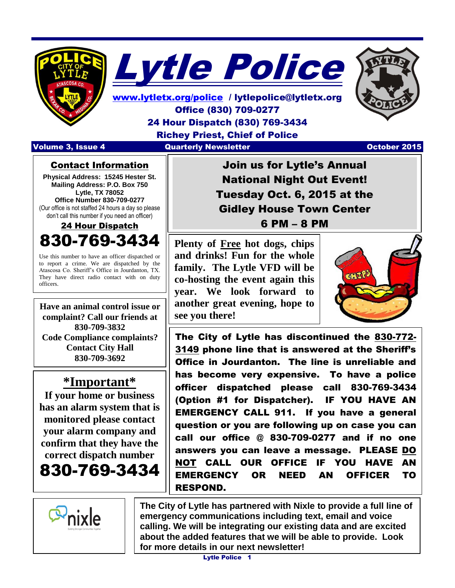



[www.lytletx.org/police](http://www.lytletx.org/police) / lytlepolice@lytletx.org Office (830) 709-0277 24 Hour Dispatch (830) 769-3434 Richey Priest, Chief of Police Volume 3, Issue 4 **Quarterly Newsletter Community 1999 October 2015** 



  $\overline{\phantom{a}}$ 

Contact Information

**Physical Address: 15245 Hester St. Mailing Address: P.O. Box 750 Lytle, TX 78052 Office Number 830-709-0277** (Our office is not staffed 24 hours a day so please don't call this number if you need an officer)

24 Hour Dispatch 830-769-

Use this number to have an officer dispatched or to report a crime. We are dispatched by the Atascosa Co. Sheriff's Office in Jourdanton, TX. They have direct radio contact with on duty officers.

**Have an animal control issue or complaint? Call our friends at 830-709-3832 Code Compliance complaints? Contact City Hall 830-709-3692**

### **\*Important\***

**If your home or business has an alarm system that is monitored please contact your alarm company and confirm that they have the correct dispatch number** 830-769-3434

Join us for Lytle's Annual National Night Out Event! Tuesday Oct. 6, 2015 at the Gidley House Town Center 6 PM – 8 PM

**Plenty of Free hot dogs, chips and drinks! Fun for the whole family. The Lytle VFD will be co-hosting the event again this year. We look forward to another great evening, hope to see you there!**



The City of Lytle has discontinued the 830-772- 3149 phone line that is answered at the Sheriff's Office in Jourdanton. The line is unreliable and has become very expensive. To have a police officer dispatched please call 830-769-3434 (Option #1 for Dispatcher). IF YOU HAVE AN EMERGENCY CALL 911. If you have a general question or you are following up on case you can call our office @ 830-709-0277 and if no one answers you can leave a message. PLEASE DO NOT CALL OUR OFFICE IF YOU HAVE AN EMERGENCY OR NEED AN OFFICER TO RESPOND.



**The City of Lytle has partnered with Nixle to provide a full line of emergency communications including text, email and voice calling. We will be integrating our existing data and are excited about the added features that we will be able to provide. Look for more details in our next newsletter!**